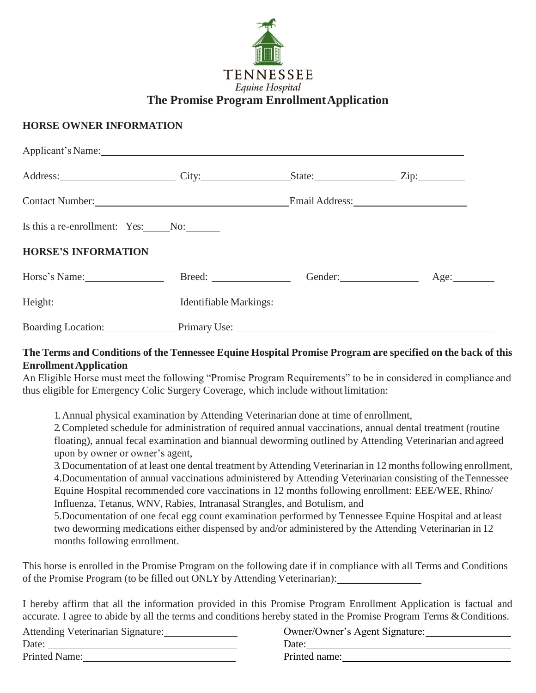

## **HORSE OWNER INFORMATION**

| Applicant's Name: 1997                                                                                                                                                                                                        |  |  |                                                                |
|-------------------------------------------------------------------------------------------------------------------------------------------------------------------------------------------------------------------------------|--|--|----------------------------------------------------------------|
| Address: <u>City: City: State:</u> City: City: State: Zip:                                                                                                                                                                    |  |  |                                                                |
| Contact Number: <u>Contact Number</u>                                                                                                                                                                                         |  |  |                                                                |
| Is this a re-enrollment: Yes: No:                                                                                                                                                                                             |  |  |                                                                |
| <b>HORSE'S INFORMATION</b>                                                                                                                                                                                                    |  |  |                                                                |
| Horse's Name: Age: Breed: Breed: Gender: Gender: Age: Age:                                                                                                                                                                    |  |  |                                                                |
|                                                                                                                                                                                                                               |  |  | Identifiable Markings: National Communication of the Markings: |
| Boarding Location: Primary Use: 2008. Primary Use: 2008. Primary Use: 2008. Primary Use: 2008. Primary Use: 2008. Primary Use: 2008. Primary Use: 2008. Primary Use: 2008. Primary Use: 2008. Primary Use: 2008. Primary Use: |  |  |                                                                |

## The Terms and Conditions of the Tennessee Equine Hospital Promise Program are specified on the back of this **EnrollmentApplication**

An Eligible Horse must meet the following "Promise Program Requirements" to be in considered in compliance and thus eligible for Emergency Colic Surgery Coverage, which include without limitation:

1.Annual physical examination by Attending Veterinarian done at time of enrollment,

2.Completed schedule for administration of required annual vaccinations, annual dental treatment (routine floating), annual fecal examination and biannual deworming outlined by Attending Veterinarian and agreed upon by owner or owner's agent,

3. Documentation of at least one dental treatment by Attending Veterinarian in 12 months following enrollment, 4.Documentation of annual vaccinations administered by Attending Veterinarian consisting of theTennessee Equine Hospital recommended core vaccinations in 12 months following enrollment: EEE/WEE, Rhino/ Influenza, Tetanus, WNV, Rabies, Intranasal Strangles, and Botulism, and

5.Documentation of one fecal egg count examination performed by Tennessee Equine Hospital and atleast two deworming medications either dispensed by and/or administered by the Attending Veterinarian in 12 months following enrollment.

This horse is enrolled in the Promise Program on the following date if in compliance with all Terms and Conditions of the Promise Program (to be filled out ONLY by Attending Veterinarian):

I hereby affirm that all the information provided in this Promise Program Enrollment Application is factual and accurate. I agree to abide by all the terms and conditions hereby stated in the Promise Program Terms & Conditions.

Attending Veterinarian Signature:

<u> 1980 - Johann Barn, mars eta bainar eta baina eta baina eta baina eta baina eta baina eta baina eta baina e</u>

Date:

Printed Name:

Owner/Owner's Agent Signature:

Date: Printed name: